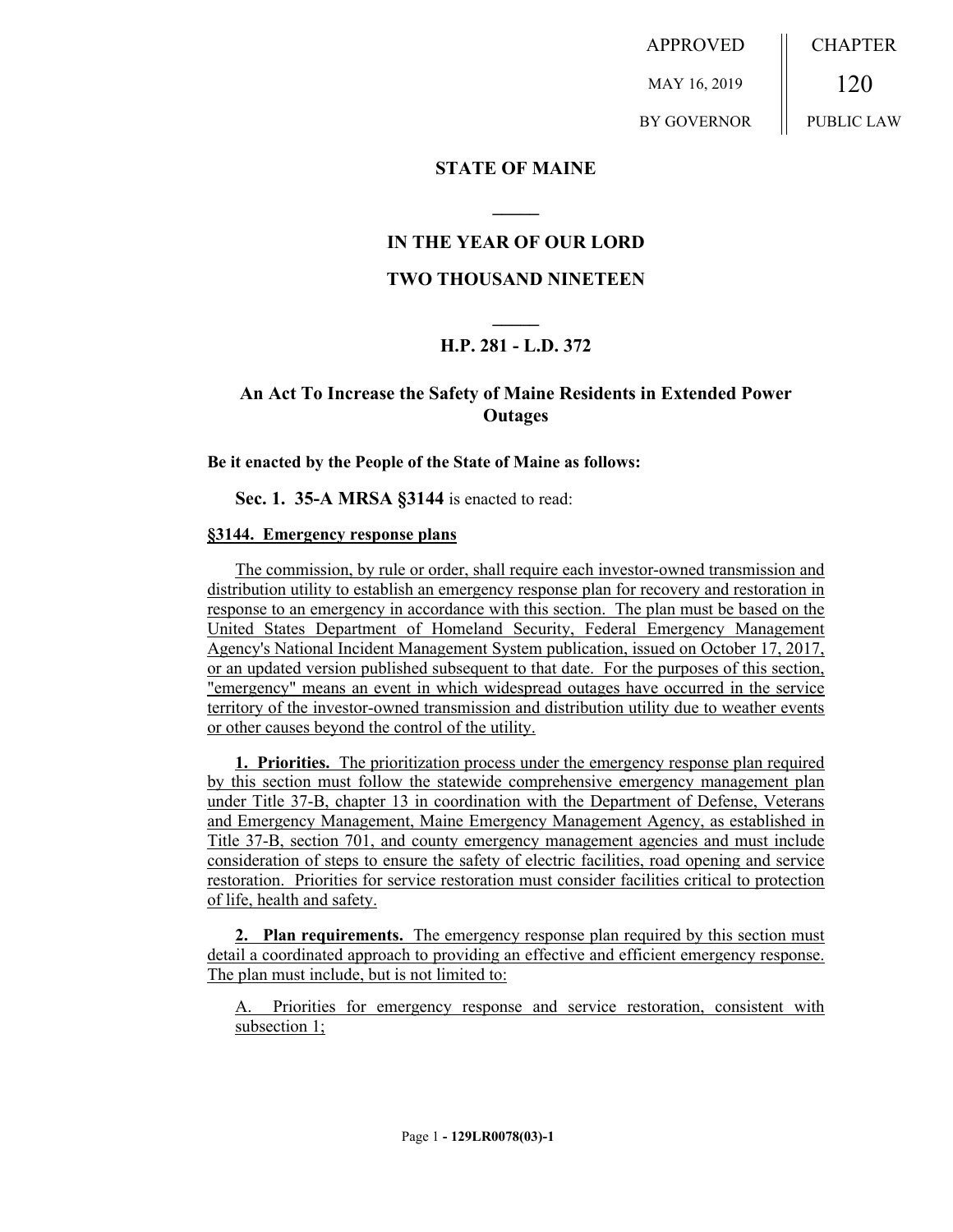APPROVED MAY 16, 2019 BY GOVERNOR CHAPTER 120 PUBLIC LAW

## **STATE OF MAINE**

## **IN THE YEAR OF OUR LORD**

**\_\_\_\_\_**

### **TWO THOUSAND NINETEEN**

# **\_\_\_\_\_ H.P. 281 - L.D. 372**

## **An Act To Increase the Safety of Maine Residents in Extended Power Outages**

#### **Be it enacted by the People of the State of Maine as follows:**

**Sec. 1. 35-A MRSA §3144** is enacted to read:

### **§3144. Emergency response plans**

The commission, by rule or order, shall require each investor-owned transmission and distribution utility to establish an emergency response plan for recovery and restoration in response to an emergency in accordance with this section. The plan must be based on the United States Department of Homeland Security, Federal Emergency Management Agency's National Incident Management System publication, issued on October 17, 2017, or an updated version published subsequent to that date. For the purposes of this section, "emergency" means an event in which widespread outages have occurred in the service territory of the investor-owned transmission and distribution utility due to weather events or other causes beyond the control of the utility.

**1. Priorities.** The prioritization process under the emergency response plan required by this section must follow the statewide comprehensive emergency management plan under Title 37-B, chapter 13 in coordination with the Department of Defense, Veterans and Emergency Management, Maine Emergency Management Agency, as established in Title 37-B, section 701, and county emergency management agencies and must include consideration of steps to ensure the safety of electric facilities, road opening and service restoration. Priorities for service restoration must consider facilities critical to protection of life, health and safety.

**2. Plan requirements.** The emergency response plan required by this section must detail a coordinated approach to providing an effective and efficient emergency response. The plan must include, but is not limited to:

A. Priorities for emergency response and service restoration, consistent with subsection 1;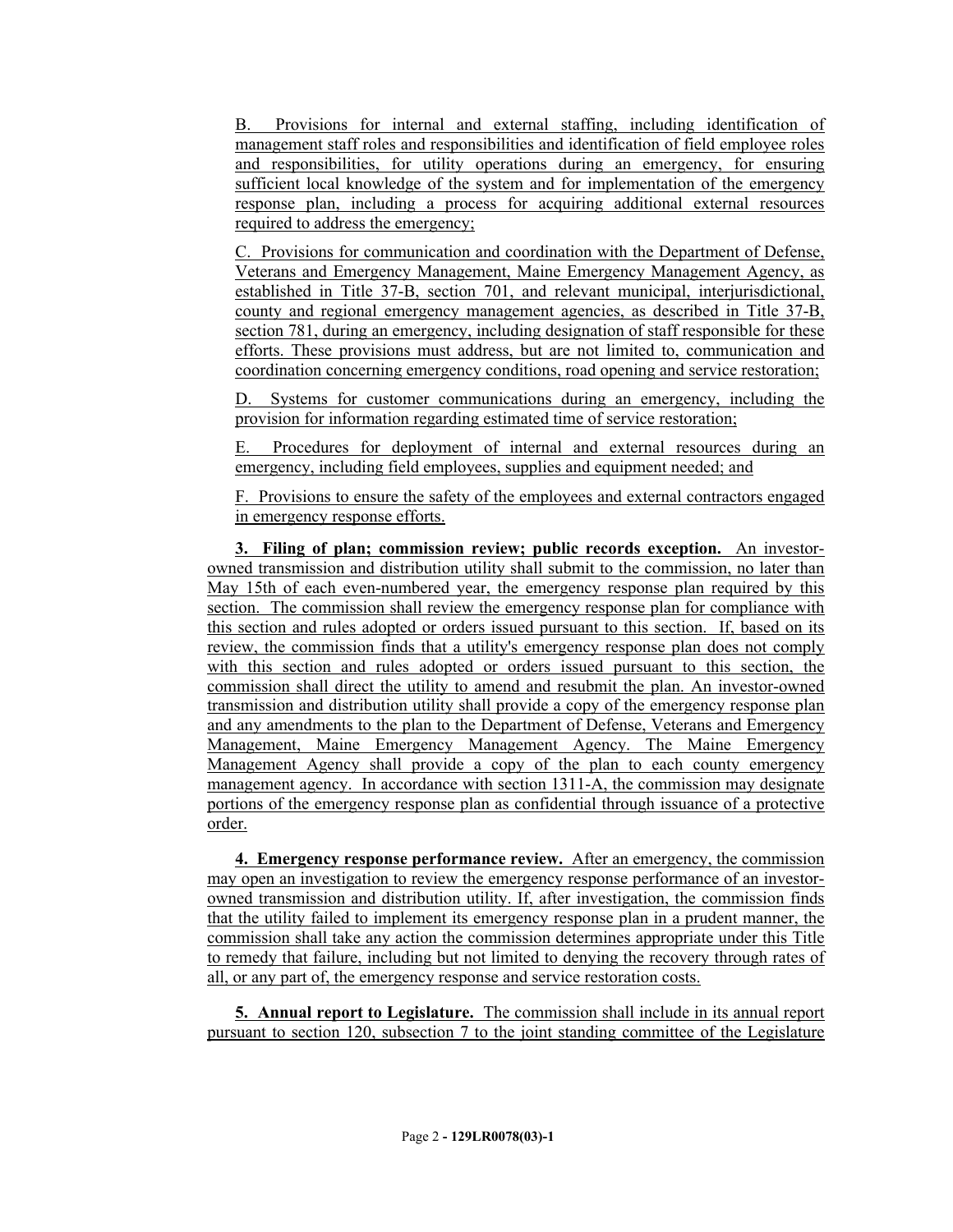B. Provisions for internal and external staffing, including identification of management staff roles and responsibilities and identification of field employee roles and responsibilities, for utility operations during an emergency, for ensuring sufficient local knowledge of the system and for implementation of the emergency response plan, including a process for acquiring additional external resources required to address the emergency;

C. Provisions for communication and coordination with the Department of Defense, Veterans and Emergency Management, Maine Emergency Management Agency, as established in Title 37-B, section 701, and relevant municipal, interjurisdictional, county and regional emergency management agencies, as described in Title 37-B, section 781, during an emergency, including designation of staff responsible for these efforts. These provisions must address, but are not limited to, communication and coordination concerning emergency conditions, road opening and service restoration;

D. Systems for customer communications during an emergency, including the provision for information regarding estimated time of service restoration;

E. Procedures for deployment of internal and external resources during an emergency, including field employees, supplies and equipment needed; and

F. Provisions to ensure the safety of the employees and external contractors engaged in emergency response efforts.

**3. Filing of plan; commission review; public records exception.** An investorowned transmission and distribution utility shall submit to the commission, no later than May 15th of each even-numbered year, the emergency response plan required by this section. The commission shall review the emergency response plan for compliance with this section and rules adopted or orders issued pursuant to this section. If, based on its review, the commission finds that a utility's emergency response plan does not comply with this section and rules adopted or orders issued pursuant to this section, the commission shall direct the utility to amend and resubmit the plan. An investor-owned transmission and distribution utility shall provide a copy of the emergency response plan and any amendments to the plan to the Department of Defense, Veterans and Emergency Management, Maine Emergency Management Agency. The Maine Emergency Management Agency shall provide a copy of the plan to each county emergency management agency. In accordance with section 1311-A, the commission may designate portions of the emergency response plan as confidential through issuance of a protective order.

**4. Emergency response performance review.** After an emergency, the commission may open an investigation to review the emergency response performance of an investorowned transmission and distribution utility. If, after investigation, the commission finds that the utility failed to implement its emergency response plan in a prudent manner, the commission shall take any action the commission determines appropriate under this Title to remedy that failure, including but not limited to denying the recovery through rates of all, or any part of, the emergency response and service restoration costs.

**5. Annual report to Legislature.** The commission shall include in its annual report pursuant to section 120, subsection 7 to the joint standing committee of the Legislature